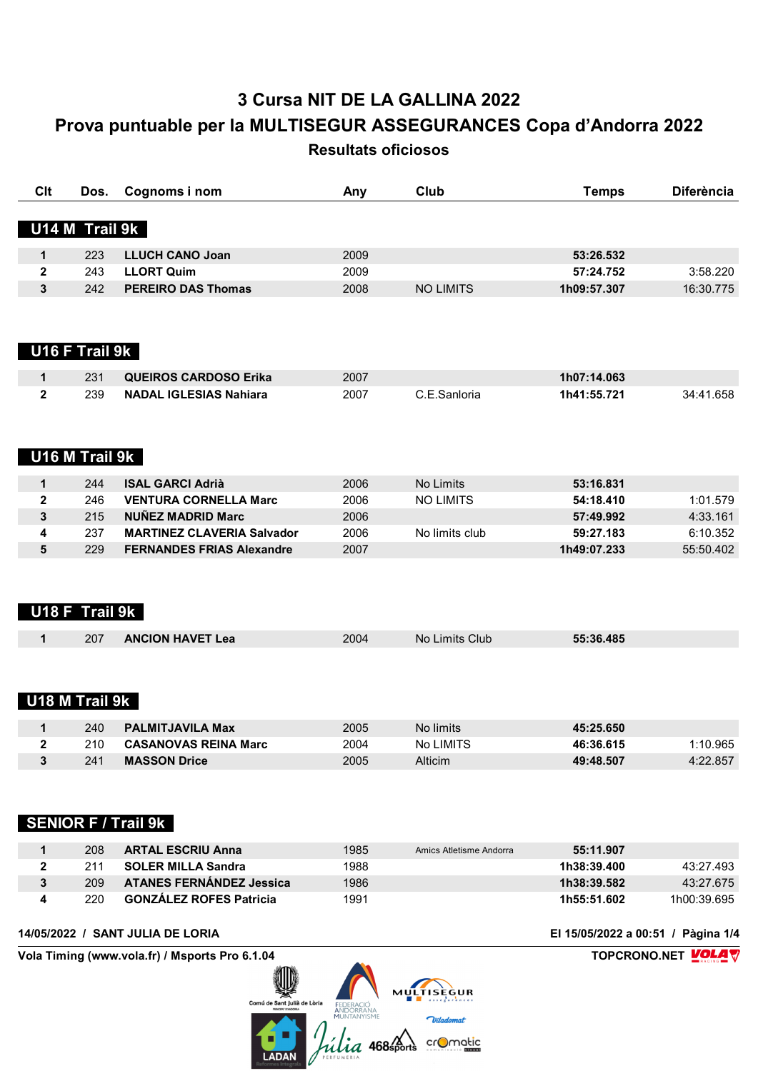| Clt          | Dos.                  | Cognoms i nom                                                                 | Any  | Club                                      | <b>Temps</b>                       | <b>Diferència</b>  |
|--------------|-----------------------|-------------------------------------------------------------------------------|------|-------------------------------------------|------------------------------------|--------------------|
|              | U14 M Trail 9k        |                                                                               |      |                                           |                                    |                    |
| $\mathbf 1$  | 223                   | <b>LLUCH CANO Joan</b>                                                        | 2009 |                                           | 53:26.532                          |                    |
| 2            | 243                   | <b>LLORT Quim</b>                                                             | 2009 |                                           | 57:24.752                          | 3:58.220           |
| 3            | 242                   | <b>PEREIRO DAS Thomas</b>                                                     | 2008 | <b>NO LIMITS</b>                          | 1h09:57.307                        | 16:30.775          |
|              | U16 F Trail 9k        |                                                                               |      |                                           |                                    |                    |
| $\mathbf 1$  | 231                   | <b>QUEIROS CARDOSO Erika</b>                                                  | 2007 |                                           | 1h07:14.063                        |                    |
| $\mathbf{2}$ | 239                   | <b>NADAL IGLESIAS Nahiara</b>                                                 | 2007 | C.E.Sanloria                              | 1h41:55.721                        | 34:41.658          |
|              |                       |                                                                               |      |                                           |                                    |                    |
|              | U16 M Trail 9k        |                                                                               |      |                                           |                                    |                    |
| $\mathbf 1$  | 244                   | <b>ISAL GARCI Adrià</b>                                                       | 2006 | No Limits                                 | 53:16.831                          |                    |
| $\mathbf 2$  | 246                   | <b>VENTURA CORNELLA Marc</b>                                                  | 2006 | <b>NO LIMITS</b>                          | 54:18.410                          | 1:01.579           |
| 3            | 215                   | <b>NUÑEZ MADRID Marc</b>                                                      | 2006 |                                           | 57:49.992                          | 4:33.161           |
| 4            | 237                   | <b>MARTINEZ CLAVERIA Salvador</b>                                             | 2006 | No limits club                            | 59:27.183                          | 6:10.352           |
| 5            | 229                   | <b>FERNANDES FRIAS Alexandre</b>                                              | 2007 |                                           | 1h49:07.233                        | 55:50.402          |
| 1            | U18 F Trail 9k<br>207 | <b>ANCION HAVET Lea</b>                                                       | 2004 | No Limits Club                            | 55:36.485                          |                    |
|              | U18 M Trail 9k        |                                                                               |      |                                           |                                    |                    |
| 1            | 240                   | <b>PALMITJAVILA Max</b>                                                       | 2005 | No limits                                 | 45:25.650                          |                    |
| 2            | 210                   | <b>CASANOVAS REINA Marc</b>                                                   | 2004 | No LIMITS                                 | 46:36.615                          | 1:10.965           |
| 3            | 241                   | <b>MASSON Drice</b>                                                           | 2005 | Alticim                                   | 49:48.507                          | 4:22.857           |
|              |                       | <b>SENIOR F / Trail 9k</b>                                                    |      |                                           |                                    |                    |
| 1            | 208                   | <b>ARTAL ESCRIU Anna</b>                                                      | 1985 | Amics Atletisme Andorra                   | 55:11.907                          |                    |
| $\mathbf{2}$ | 211                   | <b>SOLER MILLA Sandra</b>                                                     | 1988 |                                           | 1h38:39.400                        | 43:27.493          |
| 3            | 209                   | <b>ATANES FERNÁNDEZ Jessica</b>                                               | 1986 |                                           | 1h38:39.582                        | 43:27.675          |
| 4            | 220                   | <b>GONZÁLEZ ROFES Patricia</b>                                                | 1991 |                                           | 1h55:51.602                        | 1h00:39.695        |
|              |                       | 14/05/2022 / SANT JULIA DE LORIA                                              |      |                                           | El 15/05/2022 a 00:51 / Pàgina 1/4 |                    |
|              |                       | Vola Timing (www.vola.fr) / Msports Pro 6.1.04<br>Comú de Sant Julià de Lòria |      | MULTISÈGUR<br>Viladomat<br><b>D</b> matic |                                    | TOPCRONO.NET VOLAV |
|              |                       | <b>LADAN</b>                                                                  |      |                                           |                                    |                    |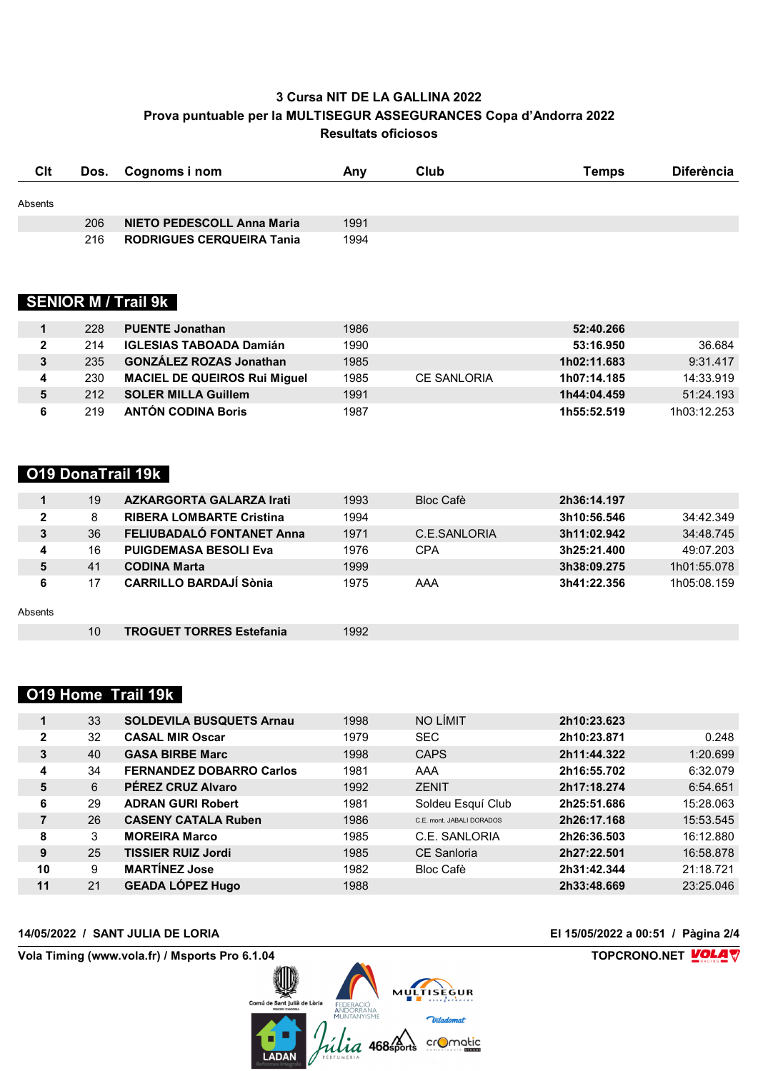| <b>C</b> lt |     | Dos. Cognoms i nom               | Anv  | Club | <b>Temps</b> | <b>Diferència</b> |
|-------------|-----|----------------------------------|------|------|--------------|-------------------|
| Absents     |     |                                  |      |      |              |                   |
|             | 206 | NIETO PEDESCOLL Anna Maria       | 1991 |      |              |                   |
|             | 216 | <b>RODRIGUES CERQUEIRA Tanja</b> | 1994 |      |              |                   |

### **SENIOR M / Trail 9k**

|              | 228 | <b>PUENTE Jonathan</b>              | 1986 |                    | 52:40.266   |             |
|--------------|-----|-------------------------------------|------|--------------------|-------------|-------------|
| $\mathbf{2}$ | 214 | <b>IGLESIAS TABOADA Damián</b>      | 1990 |                    | 53:16.950   | 36.684      |
| 3            | 235 | <b>GONZÁLEZ ROZAS Jonathan</b>      | 1985 |                    | 1h02:11.683 | 9:31.417    |
| 4            | 230 | <b>MACIEL DE QUEIROS Rui Miquel</b> | 1985 | <b>CE SANLORIA</b> | 1h07:14.185 | 14:33.919   |
| 5            | 212 | <b>SOLER MILLA Guillem</b>          | 1991 |                    | 1h44:04.459 | 51:24.193   |
| 6            | 219 | <b>ANTÓN CODINA Boris</b>           | 1987 |                    | 1h55:52.519 | 1h03:12.253 |

### **O19 DonaTrail 19k**

|                | 19              | <b>AZKARGORTA GALARZA Irati</b> | 1993 | <b>Bloc Cafè</b> | 2h36:14.197 |             |
|----------------|-----------------|---------------------------------|------|------------------|-------------|-------------|
| $\overline{2}$ | 8               | <b>RIBERA LOMBARTE Cristina</b> | 1994 |                  | 3h10:56.546 | 34:42.349   |
| 3              | 36              | FELIUBADALÓ FONTANET Anna       | 1971 | C.E.SANLORIA     | 3h11:02.942 | 34:48.745   |
| 4              | 16              | <b>PUIGDEMASA BESOLI Eva</b>    | 1976 | <b>CPA</b>       | 3h25:21.400 | 49:07.203   |
| 5              | 41              | <b>CODINA Marta</b>             | 1999 |                  | 3h38:09.275 | 1h01:55.078 |
| 6              | 17              | <b>CARRILLO BARDAJÍ Sònia</b>   | 1975 | AAA              | 3h41:22.356 | 1h05:08.159 |
| Absents        |                 |                                 |      |                  |             |             |
|                | 10 <sup>°</sup> | <b>TROGUET TORRES Estefania</b> | 1992 |                  |             |             |

## **O19 Home Trail 19k**

|              | 33 | <b>SOLDEVILA BUSQUETS Arnau</b> | 1998 | NO LÍMIT                  | 2h10:23.623 |           |
|--------------|----|---------------------------------|------|---------------------------|-------------|-----------|
| $\mathbf{2}$ | 32 | <b>CASAL MIR Oscar</b>          | 1979 | <b>SEC</b>                | 2h10:23.871 | 0.248     |
| 3            | 40 | <b>GASA BIRBE Marc</b>          | 1998 | <b>CAPS</b>               | 2h11:44.322 | 1:20.699  |
| 4            | 34 | <b>FERNANDEZ DOBARRO Carlos</b> | 1981 | AAA                       | 2h16:55.702 | 6:32.079  |
| 5            | 6  | <b>PÉREZ CRUZ Alvaro</b>        | 1992 | <b>ZENIT</b>              | 2h17:18.274 | 6:54.651  |
| 6            | 29 | <b>ADRAN GURI Robert</b>        | 1981 | Soldeu Esquí Club         | 2h25:51.686 | 15:28.063 |
| 7            | 26 | <b>CASENY CATALA Ruben</b>      | 1986 | C.E. mont. JABALI DORADOS | 2h26:17.168 | 15:53.545 |
| 8            | 3  | <b>MOREIRA Marco</b>            | 1985 | C.E. SANLORIA             | 2h26:36.503 | 16:12.880 |
| 9            | 25 | <b>TISSIER RUIZ Jordi</b>       | 1985 | <b>CE Sanloria</b>        | 2h27:22.501 | 16:58.878 |
| 10           | 9  | <b>MARTINEZ Jose</b>            | 1982 | <b>Bloc Cafè</b>          | 2h31:42.344 | 21:18.721 |
| 11           | 21 | <b>GEADA LÓPEZ Hugo</b>         | 1988 |                           | 2h33:48.669 | 23:25.046 |



**14/05/2022 / SANT JULIA DE LORIA El 15/05/2022 a 00:51 / Pàgina 2/4**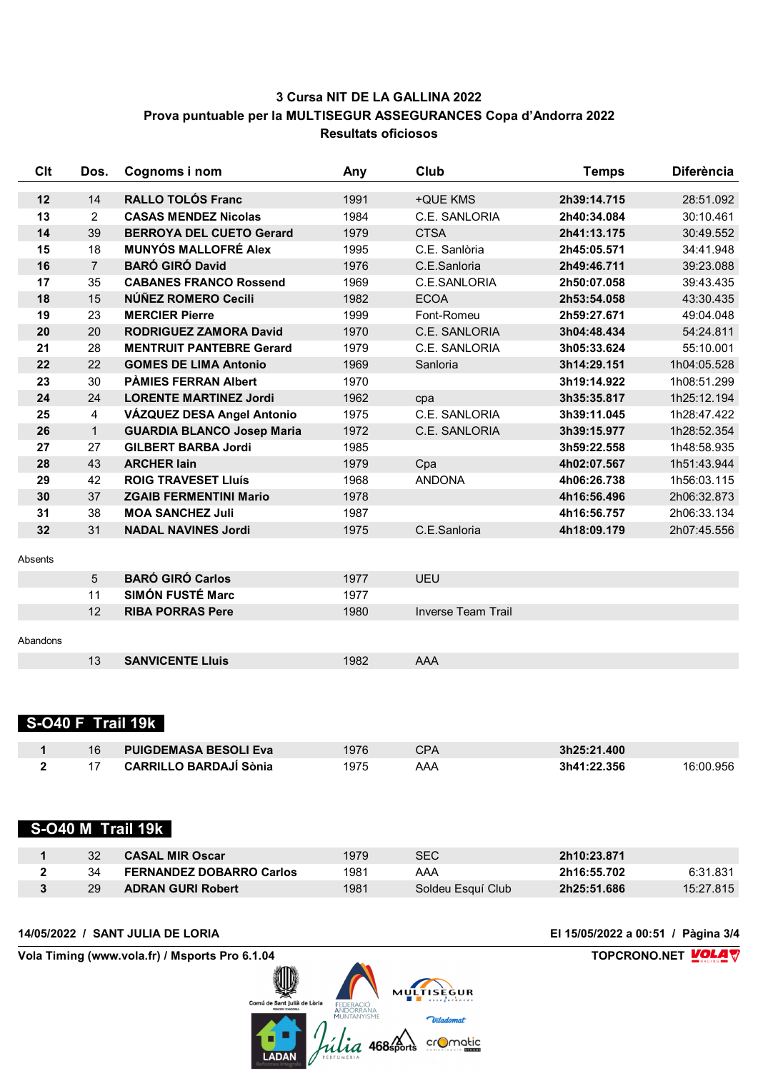| Clt      | Dos.           | Cognoms i nom                     | Any  | Club                      | <b>Diferència</b><br><b>Temps</b> |             |
|----------|----------------|-----------------------------------|------|---------------------------|-----------------------------------|-------------|
| 12       | 14             | <b>RALLO TOLÓS Franc</b>          | 1991 | +QUE KMS                  | 2h39:14.715                       | 28:51.092   |
| 13       | 2              | <b>CASAS MENDEZ Nicolas</b>       | 1984 | C.E. SANLORIA             | 2h40:34.084                       |             |
| 14       | 39             | <b>BERROYA DEL CUETO Gerard</b>   | 1979 | <b>CTSA</b>               | 2h41:13.175                       | 30:49.552   |
| 15       | 18             | <b>MUNYÓS MALLOFRÉ Alex</b>       | 1995 | C.E. Sanlòria             | 2h45:05.571                       | 34:41.948   |
| 16       | $\overline{7}$ | <b>BARÓ GIRÓ David</b>            | 1976 | C.E.Sanloria              | 2h49:46.711                       | 39:23.088   |
| 17       | 35             | <b>CABANES FRANCO Rossend</b>     | 1969 | C.E.SANLORIA              | 2h50:07.058                       | 39:43.435   |
| 18       | 15             | NÚÑEZ ROMERO Cecili               | 1982 | <b>ECOA</b>               | 2h53:54.058                       | 43:30.435   |
| 19       | 23             | <b>MERCIER Pierre</b>             | 1999 | Font-Romeu                | 2h59:27.671                       | 49:04.048   |
| 20       | 20             | <b>RODRIGUEZ ZAMORA David</b>     | 1970 | C.E. SANLORIA             | 3h04:48.434                       | 54:24.811   |
| 21       | 28             | <b>MENTRUIT PANTEBRE Gerard</b>   | 1979 | C.E. SANLORIA             | 3h05:33.624                       | 55:10.001   |
| 22       | 22             | <b>GOMES DE LIMA Antonio</b>      | 1969 | Sanloria                  | 3h14:29.151                       | 1h04:05.528 |
| 23       | 30             | <b>PAMIES FERRAN Albert</b>       | 1970 |                           | 3h19:14.922                       | 1h08:51.299 |
| 24       | 24             | <b>LORENTE MARTINEZ Jordi</b>     | 1962 | cpa                       | 3h35:35.817                       | 1h25:12.194 |
| 25       | 4              | VÁZQUEZ DESA Angel Antonio        | 1975 | C.E. SANLORIA             | 3h39:11.045                       | 1h28:47.422 |
| 26       | $\mathbf{1}$   | <b>GUARDIA BLANCO Josep Maria</b> | 1972 | C.E. SANLORIA             | 3h39:15.977                       | 1h28:52.354 |
| 27       | 27             | <b>GILBERT BARBA Jordi</b>        | 1985 |                           | 3h59:22.558                       | 1h48:58.935 |
| 28       | 43             | <b>ARCHER lain</b>                | 1979 | Cpa                       | 4h02:07.567                       | 1h51:43.944 |
| 29       | 42             | <b>ROIG TRAVESET LIUÍS</b>        | 1968 | <b>ANDONA</b>             | 4h06:26.738                       | 1h56:03.115 |
| 30       | 37             | <b>ZGAIB FERMENTINI Mario</b>     | 1978 |                           | 4h16:56.496                       | 2h06:32.873 |
| 31       | 38             | <b>MOA SANCHEZ Juli</b>           | 1987 |                           | 4h16:56.757                       | 2h06:33.134 |
| 32       | 31             | <b>NADAL NAVINES Jordi</b>        | 1975 | C.E.Sanloria              | 4h18:09.179                       | 2h07:45.556 |
| Absents  |                |                                   |      |                           |                                   |             |
|          | 5              | <b>BARÓ GIRÓ Carlos</b>           | 1977 | <b>UEU</b>                |                                   |             |
|          | 11             | <b>SIMÓN FUSTÉ Marc</b>           | 1977 |                           |                                   |             |
|          | 12             | <b>RIBA PORRAS Pere</b>           | 1980 | <b>Inverse Team Trail</b> |                                   |             |
| Abandons |                |                                   |      |                           |                                   |             |
|          | 13             | <b>SANVICENTE Lluis</b>           | 1982 | <b>AAA</b>                |                                   |             |
|          |                |                                   |      |                           |                                   |             |

#### **S-O40 F Trail 19k**

| 16 | <b>PUIGDEMASA BESOLI Eva</b> | 1976 | CPA | 3h25:21.400              |  |
|----|------------------------------|------|-----|--------------------------|--|
|    | CARRILLO BARDAJİ Sònia       | 1975 | AAA | 3h41:22.356<br>16:00.956 |  |

#### **S-O40 M Trail 19k**

|    | <b>CASAL MIR Oscar</b>          | 1979 | SEC               | 2h10:23.871 |           |
|----|---------------------------------|------|-------------------|-------------|-----------|
|    | <b>FERNANDEZ DOBARRO Carlos</b> | 1981 | AAA               | 2h16:55.702 | 6:31.831  |
| 29 | <b>ADRAN GURI Robert</b>        | 1981 | Soldeu Esquí Club | 2h25:51.686 | 15:27.815 |

**Vola Timing (www.vola.fr) / Msports Pro 6.1.04 TOPCRONO.NET** 

MULTISEGUR<br>
Comi de Sant Julia de Laria<br>
ANDORANAIRE DE COMERCIÓN MULTISEGUR<br>
MULTISEGUR<br>
Viladomat<br>
Viladomat<br>
Viladomat<br>
COMERCIÓN COMERCIÓN

**14/05/2022 / SANT JULIA DE LORIA El 15/05/2022 a 00:51 / Pàgina 3/4**